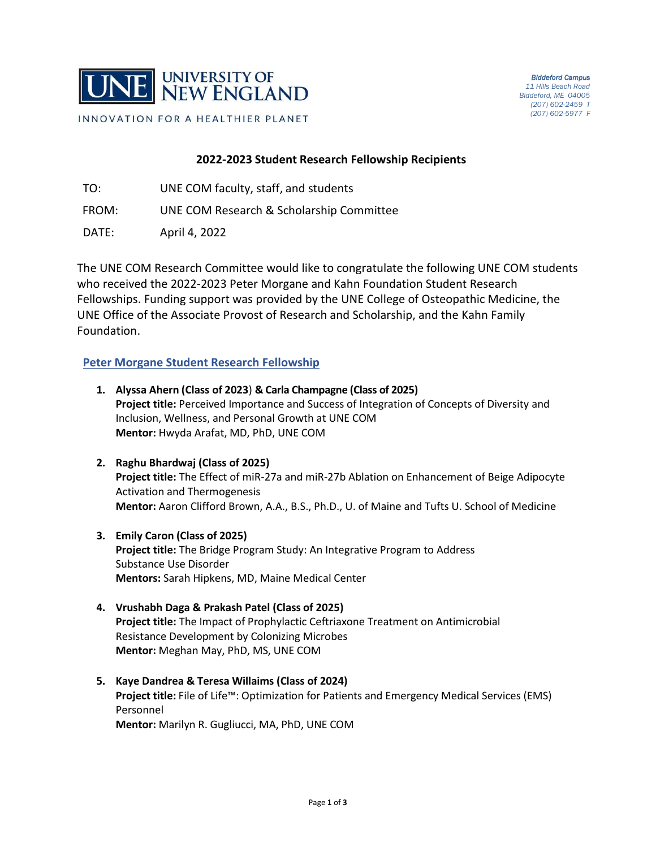

# **2022-2023 Student Research Fellowship Recipients**

- TO: UNE COM faculty, staff, and students
- FROM: UNE COM Research & Scholarship Committee
- DATE: April 4, 2022

The UNE COM Research Committee would like to congratulate the following UNE COM students who received the 2022-2023 Peter Morgane and Kahn Foundation Student Research Fellowships. Funding support was provided by the UNE College of Osteopathic Medicine, the UNE Office of the Associate Provost of Research and Scholarship, and the Kahn Family Foundation.

# **Peter Morgane Student Research Fellowship**

- **1. Alyssa Ahern (Class of 2023**) **& Carla Champagne (Class of 2025) Project title:** Perceived Importance and Success of Integration of Concepts of Diversity and Inclusion, Wellness, and Personal Growth at UNE COM **Mentor:** Hwyda Arafat, MD, PhD, UNE COM
- **2. Raghu Bhardwaj (Class of 2025) Project title:** The Effect of miR-27a and miR-27b Ablation on Enhancement of Beige Adipocyte Activation and Thermogenesis **Mentor:** Aaron Clifford Brown, A.A., B.S., Ph.D., U. of Maine and Tufts U. School of Medicine
- **3. Emily Caron (Class of 2025) Project title:** The Bridge Program Study: An Integrative Program to Address Substance Use Disorder **Mentors:** Sarah Hipkens, MD, Maine Medical Center
- **4. Vrushabh Daga & Prakash Patel (Class of 2025) Project title:** The Impact of Prophylactic Ceftriaxone Treatment on Antimicrobial Resistance Development by Colonizing Microbes **Mentor:** Meghan May, PhD, MS, UNE COM
- **5. Kaye Dandrea & Teresa Willaims (Class of 2024) Project title:** File of Life™: Optimization for Patients and Emergency Medical Services (EMS) Personnel **Mentor:** Marilyn R. Gugliucci, MA, PhD, UNE COM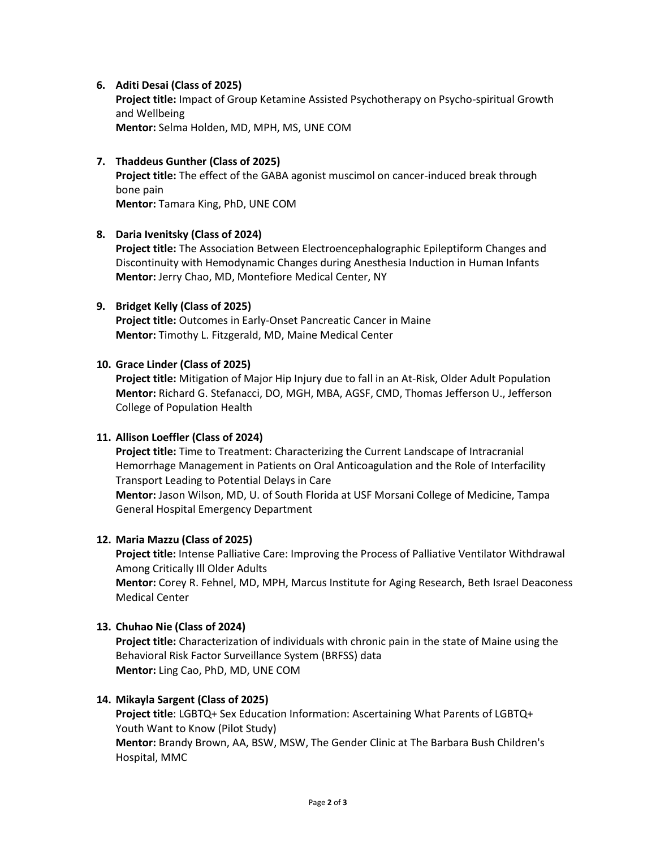# **6. Aditi Desai (Class of 2025)**

**Project title:** Impact of Group Ketamine Assisted Psychotherapy on Psycho-spiritual Growth and Wellbeing **Mentor:** Selma Holden, MD, MPH, MS, UNE COM

# **7. Thaddeus Gunther (Class of 2025)**

**Project title:** The effect of the GABA agonist muscimol on cancer-induced break through bone pain

**Mentor:** Tamara King, PhD, UNE COM

## **8. Daria Ivenitsky (Class of 2024)**

**Project title:** The Association Between Electroencephalographic Epileptiform Changes and Discontinuity with Hemodynamic Changes during Anesthesia Induction in Human Infants **Mentor:** Jerry Chao, MD, Montefiore Medical Center, NY

## **9. Bridget Kelly (Class of 2025)**

**Project title:** Outcomes in Early-Onset Pancreatic Cancer in Maine **Mentor:** Timothy L. Fitzgerald, MD, Maine Medical Center

#### **10. Grace Linder (Class of 2025)**

**Project title:** Mitigation of Major Hip Injury due to fall in an At-Risk, Older Adult Population **Mentor:** Richard G. Stefanacci, DO, MGH, MBA, AGSF, CMD, Thomas Jefferson U., Jefferson College of Population Health

## **11. Allison Loeffler (Class of 2024)**

**Project title:** Time to Treatment: Characterizing the Current Landscape of Intracranial Hemorrhage Management in Patients on Oral Anticoagulation and the Role of Interfacility Transport Leading to Potential Delays in Care

**Mentor:** Jason Wilson, MD, U. of South Florida at USF Morsani College of Medicine, Tampa General Hospital Emergency Department

## **12. Maria Mazzu (Class of 2025)**

**Project title:** Intense Palliative Care: Improving the Process of Palliative Ventilator Withdrawal Among Critically Ill Older Adults **Mentor:** Corey R. Fehnel, MD, MPH, Marcus Institute for Aging Research, Beth Israel Deaconess Medical Center

## **13. Chuhao Nie (Class of 2024)**

**Project title:** Characterization of individuals with chronic pain in the state of Maine using the Behavioral Risk Factor Surveillance System (BRFSS) data **Mentor:** Ling Cao, PhD, MD, UNE COM

## **14. Mikayla Sargent (Class of 2025)**

**Project title**: LGBTQ+ Sex Education Information: Ascertaining What Parents of LGBTQ+ Youth Want to Know (Pilot Study) **Mentor:** Brandy Brown, AA, BSW, MSW, The Gender Clinic at The Barbara Bush Children's Hospital, MMC